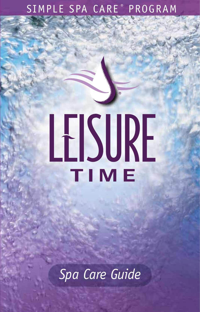## SIMPLE SPA CARE ® PROGRAM

# LEISURE TIME

*Spa Care Guide*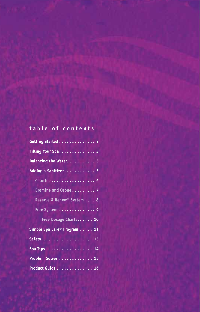#### **table of contents**

| Getting Started 2                       |  |
|-----------------------------------------|--|
| Filling Your Spa. 3                     |  |
| Balancing the Water. 3                  |  |
| Adding a Sanitizer 5                    |  |
| Chlorine 6                              |  |
| Bromine and Ozone 7                     |  |
| Reserve & Renew <sup>®</sup> System 8   |  |
| Free System 9                           |  |
| Free Dosage Charts 10                   |  |
| Simple Spa Care <sup>®</sup> Program 11 |  |
|                                         |  |
| Spa Tips 14                             |  |
| Problem Solver  15                      |  |
| Product Guide 16                        |  |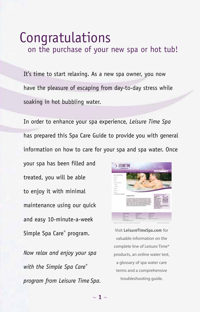### Congratulations on the purchase of your new spa or hot tub!

It's time to start relaxing. As a new spa owner, you now have the pleasure of escaping from day-to-day stress while soaking in hot bubbling water.

In order to enhance your spa experience, *Leisure Time Spa*  has prepared this Spa Care Guide to provide you with general information on how to care for your spa and spa water. Once

your spa has been filled and treated, you will be able to enjoy it with minimal maintenance using our quick and easy 10-minute-a-week Simple Spa Care<sup>®</sup> program.

*Now relax and enjoy your spa with the Simple Spa Care® program from Leisure Time Spa*.



Visit **LeisureTimeSpa.com** for valuable information on the complete line of Leisure Time® products, an online water test, a glossary of spa water care terms and a comprehensive troubleshooting guide.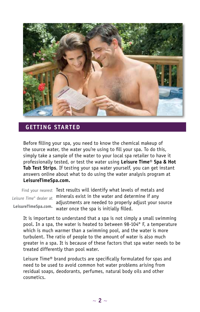

#### **GETTING STARTED**

Before filling your spa, you need to know the chemical makeup of the source water, the water you're using to fill your spa. To do this, simply take a sample of the water to your local spa retailer to have it professionally tested, or test the water using **Leisure Time® Spa & Hot Tub Test Strips**. If testing your spa water yourself, you can get instant answers online about what to do using the water analysis program at **LeisureTimeSpa.com.**

Find your nearest Test results will identify what levels of metals and minerals exist in the water and determine if any *Leisure Time®* dealer at adjustments are needed to properly adjust your source water once the spa is initially filled. **LeisureTimeSpa.com.**

It is important to understand that a spa is not simply a small swimming pool. In a spa, the water is heated to between 98-104° F, a temperature which is much warmer than a swimming pool, and the water is more turbulent. The ratio of people to the amount of water is also much greater in a spa. It is because of these factors that spa water needs to be treated differently than pool water.

Leisure Time® brand products are specifically formulated for spas and need to be used to avoid common hot water problems arising from residual soaps, deodorants, perfumes, natural body oils and other cosmetics.

 $\sim$  2  $\sim$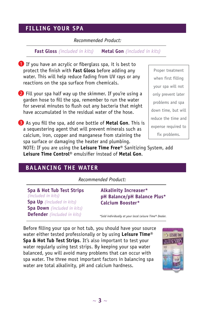#### **FILLING YOUR SPA**

#### *Recommended Product:*

**Fast Gloss** *(included in kits)* **Metal Gon** *(included in kits)*

**D** If you have an acrylic or fiberglass spa, it is best to protect the finish with **Fast Gloss** before adding any water. This will help reduce fading from UV rays or any reactions on the spa surface from chemicals.

2 Fill your spa half way up the skimmer. If you're using a garden hose to fill the spa, remember to run the water for several minutes to flush out any bacteria that might have accumulated in the residual water of the hose.

**3** As you fill the spa, add one bottle of **Metal Gon**. This is a sequestering agent that will prevent minerals such as calcium, iron, copper and manganese from staining the spa surface or damaging the heater and plumbing.

Proper treatment when first filling your spa will not only prevent later problems and spa down time, but will reduce the time and expense required to fix problems.

NOTE: If you are using the **Leisure Time Free®** Sanitizing System, add **Leisure Time Control®** emulsifier instead of **Metal Gon**.

#### **BALANCING THE WATER**

*Recommended Product:*

**Spa & Hot Tub Test Strips** *(included in kits)* **Spa Up** *(included in kits)* **Spa Down** *(included in kits)* **Defender** *(included in kits)*

**Alkalinity Increaser\* pH Balance/pH Balance Plus\* Calcium Booster\***

*\*Sold individually at your local Leisure Time® Dealer.*

Before filling your spa or hot tub, you should have your source water either tested professionally or by using **Leisure Time® Spa & Hot Tub Test Strips**. It's also important to test your water regularly using test strips. By keeping your spa water balanced, you will avoid many problems that can occur with spa water. The three most important factors in balancing spa water are total alkalinity, pH and calcium hardness.

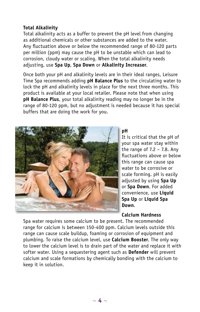#### corrosion, cloudy water or scaling. When the total alkalinity needs adjusting, use **Spa Up**, **Spa Down** or **Alkalinity Increaser**.

**Total Alkalinity**

Once both your pH and alkalinity levels are in their ideal ranges, Leisure Time Spa recommends adding **pH Balance Plus** to the circulating water to lock the pH and alkalinity levels in place for the next three months. This product is available at your local retailer. Please note that when using **pH Balance Plus**, your total alkalinity reading may no longer be in the range of 80-120 ppm, but no adjustment is needed because it has special buffers that are doing the work for you.

Total alkalinity acts as a buffer to prevent the pH level from changing as additional chemicals or other substances are added to the water. Any fluctuation above or below the recommended range of 80-120 parts per million (ppm) may cause the pH to be unstable which can lead to



#### **pH**

It is critical that the pH of your spa water stay within the range of  $7.2 - 7.8$ . Any fluctuations above or below this range can cause spa water to be corrosive or scale forming. pH is easily adjusted by using **Spa Up**  or **Spa Down**. For added convenience, use **Liquid Spa Up** or **Liquid Spa Down**.

#### **Calcium Hardness**

Spa water requires some calcium to be present. The recommended range for calcium is between 150-400 ppm. Calcium levels outside this range can cause scale buildup, foaming or corrosion of equipment and plumbing. To raise the calcium level, use **Calcium Booster**. The only way to lower the calcium level is to drain part of the water and replace it with softer water. Using a sequestering agent such as **Defender** will prevent calcium and scale formations by chemically bonding with the calcium to keep it in solution.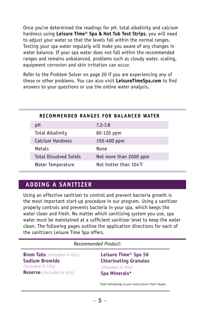Once you've determined the readings for pH, total alkalinity and calcium hardness using **Leisure Time® Spa & Hot Tub Test Strips**, you will need to adjust your water so that the levels fall within the normal ranges. Testing your spa water regularly will make you aware of any changes in water balance. If your spa water does not fall within the recommended ranges and remains unbalanced, problems such as cloudy water, scaling, equipment corrosion and skin irritation can occur.

Refer to the Problem Solver on page 20 if you are experiencing any of these or other problems. You can also visit **LeisureTimeSpa.com** to find answers to your questions or use the online water analysis.

|                               | RECOMMENDED RANGES FOR BALANCED WATER |
|-------------------------------|---------------------------------------|
| рH                            | $7.2 - 7.8$                           |
| Total Alkalinity              | 80-120 ppm                            |
| Calcium Hardness              | 150-400 ppm                           |
| Metals                        | None                                  |
| <b>Total Dissolved Solids</b> | Not more than 2000 ppm                |
| Water Temperature             | Not hotter than 104°F                 |

#### **ADDING A SANITIZER**

Using an effective sanitizer to control and prevent bacteria growth is the most important start-up procedure in our program. Using a sanitizer properly controls and prevents bacteria in your spa, which keeps the water clean and fresh. No matter which sanitizing system you use, spa water must be maintained at a sufficient sanitizer level to keep the water clean. The following pages outline the application directions for each of the sanitizers Leisure Time Spa offers.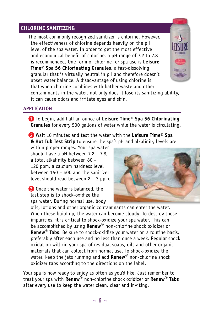#### **Chlorine Sanitizing**

The most commonly recognized sanitizer is chlorine. However, the effectiveness of chlorine depends heavily on the pH level of the spa water. In order to get the most effective and economical benefit of chlorine, a pH range of 7.2 to 7.8 is recommended. One form of chlorine for spa use is **Leisure Time® Spa 56 Chlorinating Granules**, a fast-dissolving granular that is virtually neutral in pH and therefore doesn't upset water balance. A disadvantage of using chlorine is that when chlorine combines with bather waste and other contaminants in the water, not only does it lose its sanitizing ability,



**APPLICATION**

1 To begin, add half an ounce of **Leisure Time® Spa 56 Chlorinating Granules** for every 500 gallons of water while the water is circulating.

2 Wait 10 minutes and test the water with the **Leisure Time® Spa & Hot Tub Test Strip** to ensure the spa's pH and alkalinity levels are

within proper ranges. Your spa water should have a pH between 7.2 – 7.8, a total alkalinity between 80 – 120 ppm, a calcium hardness level between 150 – 400 and the sanitizer level should read between 2 – 3 ppm.

it can cause odors and irritate eyes and skin.

**3** Once the water is balanced, the last step is to shock-oxidize the spa water. During normal use, body



oils, lotions and other organic contaminants can enter the water. When these build up, the water can become cloudy. To destroy these impurities, it is critical to shock-oxidize your spa water. This can be accomplished by using **Renew®** non-chlorine shock oxidizer or **Renew® Tabs**. Be sure to shock-oxidize your water on a routine basis, preferably after each use and no less than once a week. Regular shock oxidation will rid your spa of residual soaps, oils and other organic materials that can collect from normal use. To shock-oxidize the water, keep the jets running and add **Renew®** non-chlorine shock oxidizer tabs according to the directions on the label.

Your spa is now ready to enjoy as often as you'd like. Just remember to treat your spa with **Renew®** non-chlorine shock oxidizer or **Renew® Tabs** after every use to keep the water clean, clear and inviting.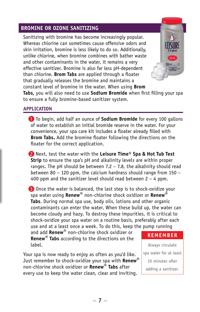#### **Bromine or Ozone Sanitizing**

Sanitizing with bromine has become increasingly popular. Whereas chlorine can sometimes cause offensive odors and skin irritation, bromine is less likely to do so. Additionally, unlike chlorine, when bromine combines with bather waste and other contaminants in the water, it remains a very effective sanitizer. Bromine is also far less pH-dependent than chlorine. **Brom Tabs** are applied through a floater that gradually releases the bromine and maintains a constant level of bromine in the water. When using **Brom** 



**Tabs,** you will also need to use **Sodium Bromide** when first filling your spa to ensure a fully bromine-based sanitizer system.

#### **APPLICATION**

1 To begin, add half an ounce of **Sodium Bromide** for every 100 gallons of water to establish an initial bromide reserve in the water. For your convenience, your spa care kit includes a floater already filled with **Brom Tabs.** Add the bromine floater following the directions on the floater for the correct application.

2 Next, test the water with the **Leisure Time® Spa & Hot Tub Test Strip** to ensure the spa's pH and alkalinity levels are within proper ranges. The pH should be between 7.2 – 7.8, the alkalinity should read between 80 – 120 ppm, the calcium hardness should range from 150 – 400 ppm and the sanitizer level should read between 2 – 4 ppm.

**3** Once the water is balanced, the last step is to shock-oxidize your spa water using **Renew®** non-chlorine shock oxidizer or **Renew® Tabs**. During normal spa use, body oils, lotions and other organic contaminants can enter the water. When these build up, the water can become cloudy and hazy. To destroy these impurities, it is critical to shock-oxidize your spa water on a routine basis, preferably after each use and at a least once a week. To do this, keep the pump running

and add **Renew®** non-chlorine shock oxidizer or **Renew® Tabs** according to the directions on the label.

Your spa is now ready to enjoy as often as you'd like. Just remember to shock-oxidize your spa with **Renew®** non-chlorine shock oxidizer or **Renew® Tabs** after every use to keep the water clean, clear and inviting.

#### **REMEMBER**

Always circulate spa water for at least 10 minutes after adding a sanitizer.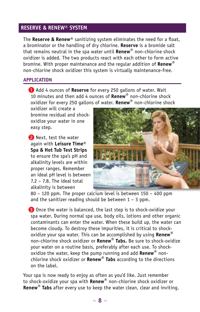#### **Reserve & Renew® SYSTEM**

The **Reserve & Renew®** sanitizing system eliminates the need for a float, a brominator or the handling of dry chlorine. **Reserve** is a bromide salt that remains neutral in the spa water until **Renew®** non-chlorine shock oxidizer is added. The two products react with each other to form active bromine. With proper maintenance and the regular addition of **Renew®** non-chlorine shock oxidizer this system is virtually maintenance-free.

#### **APPLICATION**

1 Add 4 ounces of **Reserve** for every 250 gallons of water. Wait 10 minutes and then add 4 ounces of **Renew®** non-chlorine shock oxidizer for every 250 gallons of water. **Renew®** non-chlorine shock

oxidizer will create a bromine residual and shockoxidize your water in one easy step.

2 Next, test the water again with **Leisure Time® Spa & Hot Tub Test Strips** to ensure the spa's pH and alkalinity levels are within proper ranges. Remember an ideal pH level is between 7.2 – 7.8. The ideal total alkalinity is between



80 – 120 ppm. The proper calcium level is between 150 – 400 ppm and the sanitizer reading should be between  $1 - 3$  ppm.

3 Once the water is balanced, the last step is to shock-oxidize your spa water. During normal spa use, body oils, lotions and other organic contaminants can enter the water. When these build up, the water can become cloudy. To destroy these impurities, it is critical to shockoxidize your spa water. This can be accomplished by using **Renew®** non-chlorine shock oxidizer or **Renew® Tabs.** Be sure to shock-oxidize your water on a routine basis, preferably after each use. To shockoxidize the water, keep the pump running and add **Renew®** nonchlorine shock oxidizer or **Renew® Tabs** according to the directions on the label.

Your spa is now ready to enjoy as often as you'd like. Just remember to shock-oxidize your spa with **Renew®** non-chlorine shock oxidizer or **Renew® Tabs** after every use to keep the water clean, clear and inviting.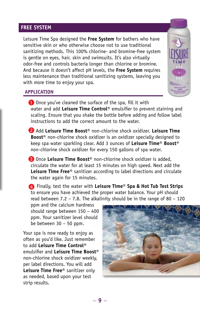#### **Free System**

Leisure Time Spa designed the **Free System** for bathers who have sensitive skin or who otherwise choose not to use traditional sanitizing methods. This 100% chlorine- and bromine-free system is gentle on eyes, hair, skin and swimsuits. It's also virtually odor-free and controls bacteria longer than chlorine or bromine. And because it doesn't affect pH levels, the **Free System** requires less maintenance than traditional sanitizing systems, leaving you with more time to enjoy your spa.



#### **APPLICATION**

**1** Once you've cleaned the surface of the spa, fill it with water and add **Leisure Time Control®** emulsifier to prevent staining and scaling. Ensure that you shake the bottle before adding and follow label instructions to add the correct amount to the water.

2 Add **Leisure Time Boost®** non-chlorine shock oxidizer. **Leisure Time Boost®** non-chlorine shock oxidizer is an oxidizer specially designed to keep spa water sparkling clear. Add 3 ounces of **Leisure Time® Boost®**  non-chlorine shock oxidizer for every 150 gallons of spa water.

3 Once **Leisure Time Boost®** non-chlorine shock oxidizer is added, circulate the water for at least 15 minutes on high speed. Next add the **Leisure Time Free®** sanitizer according to label directions and circulate the water again for 15 minutes.

 Finally, test the water with **Leisure Time® Spa & Hot Tub Test Strips** 4to ensure you have achieved the proper water balance. Your pH should read between 7.2 – 7.8. The alkalinity should be in the range of 80 – 120

ppm and the calcium hardness should range between 150 – 400 ppm. Your sanitizer level should be between 30 – 50 ppm.

Your spa is now ready to enjoy as often as you'd like. Just remember to add **Leisure Time Control®** emulsifier and **Leisure Time Boost®** non-chlorine shock oxidizer weekly, per label directions. You will add **Leisure Time Free®** sanitizer only as needed, based upon your test strip results.

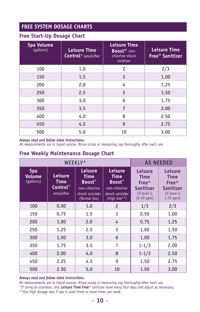#### **Free System Dosage Charts**

#### **Free Start-Up Dosage Chart**

| Spa Volume<br>(gallons) | <b>Leisure Time</b><br><b>Control</b> <sup>®</sup> emulsifier | <b>Leisure Time</b><br>Boost <sup>®</sup> non-<br>chlorine shock<br>oxidizer | <b>Leisure Time</b><br>Free <sup>®</sup> Sanitizer |
|-------------------------|---------------------------------------------------------------|------------------------------------------------------------------------------|----------------------------------------------------|
| 100                     | 1.0                                                           | $\overline{c}$                                                               | 2/3                                                |
| 150                     | 1.5                                                           | 3                                                                            | 1.00                                               |
| 200                     | 2.0                                                           | 4                                                                            | 1.25                                               |
| 250                     | 2.5                                                           | 5                                                                            | 1.50                                               |
| 300                     | 3.0                                                           | 6                                                                            | 1.75                                               |
| 350                     | 3.5                                                           | 7                                                                            | 2.00                                               |
| 400                     | 4.0                                                           | 8                                                                            | 2.50                                               |
| 450                     | 4.5                                                           | 9                                                                            | 2.75                                               |
| 500                     | 5.0                                                           | 10                                                                           | 3.00                                               |

#### *Always read and follow label instructions.*

All measurements are in liquid ounces. Rinse scoop or measuring cup thoroughly after each use.

#### **Free Weekly Maintenance Dosage Chart**

| WEEKLY*                           |                                                   |                                                                                                  | <b>AS NEEDED</b>                                                                                 |                                                                                       |                                                                                           |
|-----------------------------------|---------------------------------------------------|--------------------------------------------------------------------------------------------------|--------------------------------------------------------------------------------------------------|---------------------------------------------------------------------------------------|-------------------------------------------------------------------------------------------|
| <b>Spa</b><br>Volume<br>(gallons) | Leisure<br>Time<br><b>Control</b> ®<br>emulsifier | <b>Leisure</b><br><b>Time</b><br><b>Boost®</b><br>non-chlorine<br>shock oxizider<br>(Normal Use) | <b>Leisure</b><br><b>Time</b><br><b>Boost®</b><br>non-chlorine<br>shock oxizider<br>(High Use**) | Leisure<br><b>Time</b><br><b>Free®</b><br>Sanitizer<br>(if level is<br>$16 - 30$ ppm) | <b>Leisure</b><br><b>Time</b><br><b>Free®</b><br>Sanitizer<br>(if level is<br>$1-15$ ppm) |
| 100                               | 0.50                                              | 1.0                                                                                              | $\overline{c}$                                                                                   | 1/3                                                                                   | 2/3                                                                                       |
| 150                               | 0.75                                              | 1.5                                                                                              | 3                                                                                                | 0.50                                                                                  | 1.00                                                                                      |
| 200                               | 1.00                                              | 2.0                                                                                              | 4                                                                                                | 0.75                                                                                  | 1.25                                                                                      |
| 250                               | 1.25                                              | 2.5                                                                                              | 5                                                                                                | 1.00                                                                                  | 1.50                                                                                      |
| 300                               | 1.50                                              | 3.0                                                                                              | 6                                                                                                | 1.00                                                                                  | 1.75                                                                                      |
| 350                               | 1.75                                              | 3.5                                                                                              | 7                                                                                                | $1 - 1/3$                                                                             | 2.00                                                                                      |
| 400                               | 2.00                                              | 4.0                                                                                              | 8                                                                                                | $1 - 1/3$                                                                             | 2.50                                                                                      |
| 450                               | 2.25                                              | 4.5                                                                                              | 9                                                                                                | 1.50                                                                                  | 2.75                                                                                      |
| 500                               | 2.50                                              | 5.0                                                                                              | 10                                                                                               | 1.50                                                                                  | 3.00                                                                                      |

#### *Always read and follow label instructions.*

All measurements are in liquid ounces. Rinse scoop or measuring cup thoroughly after each use.

\*If using an ozonator, test **Leisure Time Free®** sanitizer level every four days and adjust as necessary.

\*\*Use high dosage rate if spa is used three or more times per week.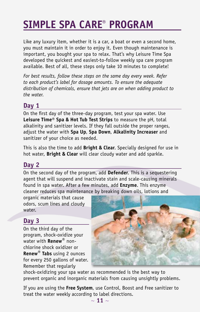## **SIMPLE SPA CARE® PROGRAM**

Like any luxury item, whether it is a car, a boat or even a second home, you must maintain it in order to enjoy it. Even though maintenance is important, you bought your spa to relax. That's why Leisure Time Spa developed the quickest and easiest-to-follow weekly spa care program available. Best of all, these steps only take 10 minutes to complete!

*For best results, follow these steps on the same day every week. Refer to each product's label for dosage amounts. To ensure the adequate distribution of chemicals, ensure that jets are on when adding product to the water.*

#### **Day 1**

On the first day of the three-day program, test your spa water. Use **Leisure Time® Spa & Hot Tub Test Strips** to measure the pH, total alkalinity and sanitizer levels. If they fall outside the proper ranges, adjust the water with **Spa Up**, **Spa Down**, **Alkalinity Increaser** and sanitizer of your choice as needed.

This is also the time to add **Bright & Clear**. Specially designed for use in hot water, **Bright & Clear** will clear cloudy water and add sparkle.

#### **Day 2**

On the second day of the program, add **Defender**. This is a sequestering agent that will suspend and inactivate stain and scale-causing minerals found in spa water. After a few minutes, add **Enzyme**. This enzyme cleaner reduces spa maintenance by breaking down oils, lotions and

organic materials that cause odors, scum lines and cloudy water.

#### **Day 3**

On the third day of the program, shock-oxidize your water with **Renew®** nonchlorine shock oxidizer or **Renew® Tabs** using 2 ounces for every 250 gallons of water. Remember that regularly



shock-oxidizing your spa water as recommended is the best way to prevent organic and inorganic materials from causing unsightly problems.

If you are using the **Free System**, use Control, Boost and Free sanitizer to treat the water weekly according to label directions.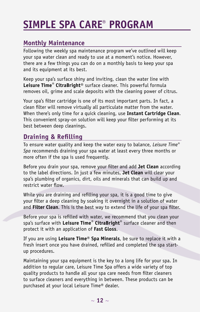## **SIMPLE SPA CARE® PROGRAM**

#### **Monthly Maintenance**

Following the weekly spa maintenance program we've outlined will keep your spa water clean and ready to use at a moment's notice. However, there are a few things you can do on a monthly basis to keep your spa and its equipment at its best.

Keep your spa's surface shiny and inviting, clean the water line with **Leisure Time® CitraBright®** surface cleaner. This powerful formula removes oil, grime and scale deposits with the cleaning power of citrus.

Your spa's filter cartridge is one of its most important parts. In fact, a clean filter will remove virtually all particulate matter from the water. When there's only time for a quick cleaning, use **Instant Cartridge Clean**. This convenient spray-on solution will keep your filter performing at its best between deep cleanings.

#### **Draining & Refilling**

To ensure water quality and keep the water easy to balance, *Leisure Time® Spa* recommends draining your spa water at least every three months or more often if the spa is used frequently.

Before you drain your spa, remove your filter and add **Jet Clean** according to the label directions. In just a few minutes, **Jet Clean** will clear your spa's plumbing of organics, dirt, oils and minerals that can build up and restrict water flow.

While you are draining and refilling your spa, it is a good time to give your filter a deep cleaning by soaking it overnight in a solution of water and **Filter Clean**. This is the best way to extend the life of your spa filter.

Before your spa is refilled with water, we recommend that you clean your spa's surface with **Leisure Time® CitraBright®** surface cleaner and then protect it with an application of **Fast Gloss**.

If you are using **Leisure Time® Spa Minerals**, be sure to replace it with a fresh insert once you have drained, refilled and completed the spa startup procedures.

Maintaining your spa equipment is the key to a long life for your spa. In addition to regular care, Leisure Time Spa offers a wide variety of top quality products to handle all your spa care needs from filter cleaners to surface cleaners and everything in between. These products can be purchased at your local Leisure Time® dealer.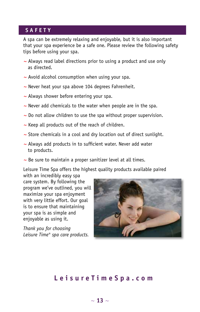## **SIMPLE SPACE**

A spa can be extremely relaxing and enjoyable, but it is also important that your spa experience be a safe one. Please review the following safety tips before using your spa.

- **~** Always read label directions prior to using a product and use only as directed.
- **~** Avoid alcohol consumption when using your spa.
- **~** Never heat your spa above 104 degrees Fahrenheit.
- **~** Always shower before entering your spa.
- **~** Never add chemicals to the water when people are in the spa.
- **~** Do not allow children to use the spa without proper supervision.
- **~** Keep all products out of the reach of children.
- **~** Store chemicals in a cool and dry location out of direct sunlight.
- **~** Always add products in to sufficient water. Never add water to products.
- **~** Be sure to maintain a proper sanitizer level at all times.

Leisure Time Spa offers the highest quality products available paired

with an incredibly easy spa care system. By following the program we've outlined, you will maximize your spa enjoyment with very little effort. Our goal is to ensure that maintaining your spa is as simple and enjoyable as using it.

*Thank you for choosing Leisure Time® spa care products.* 



#### **LeisureTimeSpa. com**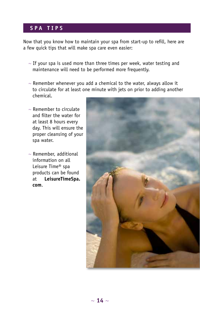#### **spa tips**

Now that you know how to maintain your spa from start-up to refill, here are a few quick tips that will make spa care even easier:

- **~** If your spa is used more than three times per week, water testing and maintenance will need to be performed more frequently.
- **~** Remember whenever you add a chemical to the water, always allow it to circulate for at least one minute with jets on prior to adding another chemical.
- **~** Remember to circulate and filter the water for at least 8 hours every day. This will ensure the proper cleansing of your spa water.
- **~** Remember, additional information on all Leisure Time® spa products can be found at **LeisureTimeSpa. com**.

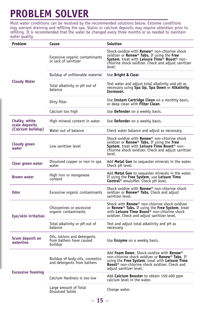## **PROBLEM SOLVER**

Most water conditions can be resolved by the recommended solutions below. Extreme conditions may warrant draining and refilling the spa. Stains or calcium deposits may require attention prior to refilling. It is recommended that the water be changed every three months or as needed to maintain water quality.

| Problem                         | Cause                                                               | Solution                                                                                                                                                                                                                                          |
|---------------------------------|---------------------------------------------------------------------|---------------------------------------------------------------------------------------------------------------------------------------------------------------------------------------------------------------------------------------------------|
|                                 | Excessive organic contaminants<br>or lack of sanitizer              | Shock-oxidize with <b>Renew</b> ® non-chlorine shock<br>oxidizer or <b>Renew<sup>®</sup> Tabs.</b> If using the Free<br>System, treat with Leisure Time <sup>®</sup> Boost® non-<br>chlorine shock oxidizer. Check and adjust sanitizer<br>level. |
|                                 | Buildup of unfilterable material                                    | Use Bright & Clear.                                                                                                                                                                                                                               |
| <b>Cloudy Water</b>             | Total alkalinity or pH out of<br>balance                            | Test water and adjust total alkalinity and pH as<br>necessary using Spa Up, Spa Down or Alkalinity<br>Increaser.                                                                                                                                  |
|                                 | Dirty filter                                                        | Use Instant Cartridge Clean on a monthly basis,<br>or deep clean with <b>Filter Clean.</b>                                                                                                                                                        |
|                                 | Calcium too high                                                    | Use <b>Defender</b> on a weekly basis.                                                                                                                                                                                                            |
| Chalky, white<br>scale deposits | High mineral content in water                                       | Use <b>Defender</b> on a weekly basis.                                                                                                                                                                                                            |
| (Calcium buildup)               | Water out of balance                                                | Check water balance and adjust as necessary.                                                                                                                                                                                                      |
| <b>Cloudy green</b><br>water    | Low sanitizer level                                                 | Shock-oxidize with Renew <sup>®</sup> non-chlorine shock<br>oxidizer or <b>Renew<sup>®</sup> Tabs.</b> If using the Free<br>System, treat with Leisure Time Boost® non-<br>chlorine shock oxidizer. Check and adjust sanitizer<br>level.          |
| Clear green water               | Dissolved copper or iron in spa<br>water                            | Add Metal Gon to sequester minerals in the water.<br>Check pH level.                                                                                                                                                                              |
| <b>Brown water</b>              | High iron or manganese<br>content                                   | Add Metal Gon to sequester minerals in the water.<br>If using the Free System, use Leisure Time<br><b>Control</b> ® emulsifier. Check pH level.                                                                                                   |
| 0dor                            | Excessive organic contaminants                                      | Shock-oxidize with <b>Renew</b> <sup>®</sup> non-chlorine shock<br>oxidizer or <b>Renew<sup>®</sup> Tabs.</b> Check and adjust<br>sanitizer level.                                                                                                |
| Eye/skin irritation             | Chloramines or excessive<br>organic contaminants                    | Shock with <b>Renew</b> ® non-chlorine shock oxidizer<br>or Renew <sup>®</sup> Tabs. If using the Free System, treat<br>with Leisure Time Boost <sup>®</sup> non-chlorine shock<br>oxidizer. Check and adjust sanitizer level.                    |
|                                 | Total alkalinity or pH out of<br>balance                            | Test and adjust total alkalinity and pH as<br>necessary.                                                                                                                                                                                          |
| Scum deposit on<br>waterline    | Oils, lotions and detergents<br>from bathers have caused<br>buildup | Use <b>Enzyme</b> on a weekly basis.                                                                                                                                                                                                              |
| <b>Excessive foaming</b>        | Buildup of body oils, cosmetics<br>and detergents from bathers      | Add Foam Down. Shock-oxidize with Renew®<br>non-chlorine shock oxidizer or Renew® Tabs. If<br>using the Free System, treat with Leisure Time<br>Boost <sup>®</sup> non-chlorine shock oxidizer. Check and<br>adjust sanitizer level.              |
|                                 | Calcium Hardness is too low                                         | Add <b>Calcium Booster</b> to obtain 150-400 ppm<br>calcium level in the water.                                                                                                                                                                   |
|                                 | Large amount of Total<br>Dissolved Solids                           | Change water.                                                                                                                                                                                                                                     |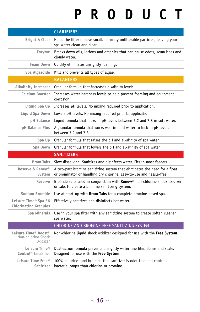# **PRODUCT**

|                                                                                | <b>CLARIFIERS</b>                                                                                                                                 |
|--------------------------------------------------------------------------------|---------------------------------------------------------------------------------------------------------------------------------------------------|
| Bright & Clear                                                                 | Helps the filter remove small, normally unfilterable particles, leaving your<br>spa water clean and clear.                                        |
| Enzyme                                                                         | Breaks down oils, lotions and organics that can cause odors, scum lines and<br>cloudy water.                                                      |
| Foam Down                                                                      | Quickly eliminates unsightly foaming.                                                                                                             |
| Spa Algaecide                                                                  | Kills and prevents all types of algae.                                                                                                            |
|                                                                                | <b>BALANCERS</b>                                                                                                                                  |
| <b>Alkalinity Increaser</b>                                                    | Granular formula that increases alkalinity levels.                                                                                                |
| Calcium Booster                                                                | Increases water hardness levels to help prevent foaming and equipment<br>corrosion.                                                               |
| Liquid Spa Up                                                                  | Increases pH levels. No mixing required prior to application.                                                                                     |
| Liquid Spa Down                                                                | Lowers pH levels. No mixing required prior to application.                                                                                        |
| pH Balance                                                                     | Liquid formula that locks-in pH levels between 7.2 and 7.8 in soft water.                                                                         |
| pH Balance Plus                                                                | A granular formula that works well in hard water to lock-in pH levels<br>between 7.2 and 7.8.                                                     |
| Spa Up                                                                         | Granular formula that raises the pH and alkalinity of spa water.                                                                                  |
| Spa Down                                                                       | Granular formula that lowers the pH and alkalinity of spa water.                                                                                  |
|                                                                                |                                                                                                                                                   |
|                                                                                | <b>SANITIZERS</b>                                                                                                                                 |
| <b>Brom Tabs</b>                                                               | Slow dissolving. Sanitizes and disinfects water. Fits in most feeders.                                                                            |
| Reserve & Renew <sup>®</sup><br>System                                         | A two-part bromine sanitizing system that eliminates the need for a float<br>or brominator or handling dry chlorine. Easy-to-use and hassle-free. |
| Reserve                                                                        | Bromide salts used in conjunction with Renew® non-chlorine shock oxidizer<br>or tabs to create a bromine sanitizing system.                       |
| Sodium Bromide                                                                 | Use at start-up with <b>Brom Tabs</b> for a complete bromine-based spa.                                                                           |
| Leisure Time <sup>®</sup> Spa 56<br><b>Chlorinating Granules</b>               | Effectively sanitizes and disinfects hot water.                                                                                                   |
| Spa Minerals                                                                   | Use in your spa filter with any sanitizing system to create softer, cleaner<br>spa water.                                                         |
|                                                                                | CHLORINE AND BROMINE-FREE SANITIZING SYSTEM                                                                                                       |
| Leisure Time <sup>®</sup> Boost <sup>®</sup><br>Non-chlorine Shock<br>Oxidizer | Non-chlorine liquid shock oxidizer designed for use with the Free System.                                                                         |
| Leisure Time <sup>®</sup><br>Control <sup>®</sup> Emulsifier                   | Dual-action formula prevents unsightly water line film, stains and scale.<br>Designed for use with the Free System.                               |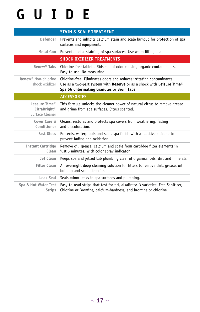## **GUIDE**

|                                                                          | <b>STAIN &amp; SCALE TREATMENT</b>                                                                                                                                                                       |
|--------------------------------------------------------------------------|----------------------------------------------------------------------------------------------------------------------------------------------------------------------------------------------------------|
| Defender                                                                 | Prevents and inhibits calcium stain and scale buildup for protection of spa<br>surfaces and equipment.                                                                                                   |
| Metal Gon                                                                | Prevents metal staining of spa surfaces. Use when filling spa.                                                                                                                                           |
|                                                                          | <b>SHOCK OXIDIZER TREATMENTS</b>                                                                                                                                                                         |
| Renew <sup>®</sup> Tabs                                                  | Chlorine-free tablets. Rids spa of odor causing organic contaminants.<br>Easy-to-use. No measuring.                                                                                                      |
| Renew <sup>®</sup> Non-chlorine<br>shock oxidizer                        | Chlorine-free. Eliminates odors and reduces irritating contaminants.<br>Use as a two-part system with Reserve or as a shock with Leisure Time <sup>®</sup><br>Spa 56 Chlorinating Granules or Brom Tabs. |
|                                                                          | <b>ACCESSORIES</b>                                                                                                                                                                                       |
| Leasure Time <sup>®</sup><br>CitraBright <sup>®</sup><br>Surface Cleaner | This formula unlocks the cleaner power of natural citrus to remove grease<br>and grime from spa surfaces. Citrus scented.                                                                                |
| Cover Care &<br>Conditioner                                              | Cleans, restores and protects spa covers from weathering, fading<br>and discoloration.                                                                                                                   |
| <b>Fast Gloss</b>                                                        | Protects, waterproofs and seals spa finish with a reactive silicone to<br>prevent fading and oxidation.                                                                                                  |
| <b>Instant Cartridge</b><br>Clean                                        | Remove oil, grease, calcium and scale from cartridge filter elements in<br>just 5 minutes. With color spray indicator.                                                                                   |
| Jet Clean                                                                | Keeps spa and jetted tub plumbing clear of organics, oils, dirt and minerals.                                                                                                                            |
| <b>Filter Clean</b>                                                      | An overnight deep cleaning solution for filters to remove dirt, grease, oil<br>buildup and scale deposits                                                                                                |
| Leak Seal                                                                | Seals minor leaks in spa surfaces and plumbing.                                                                                                                                                          |
| Spa & Hot Water Test<br><b>Strips</b>                                    | Easy-to-read strips that test for pH, alkalinity, 3 varieties: Free Sanitizer,<br>Chlorine or Bromine, calcium-hardness, and bromine or chlorine.                                                        |